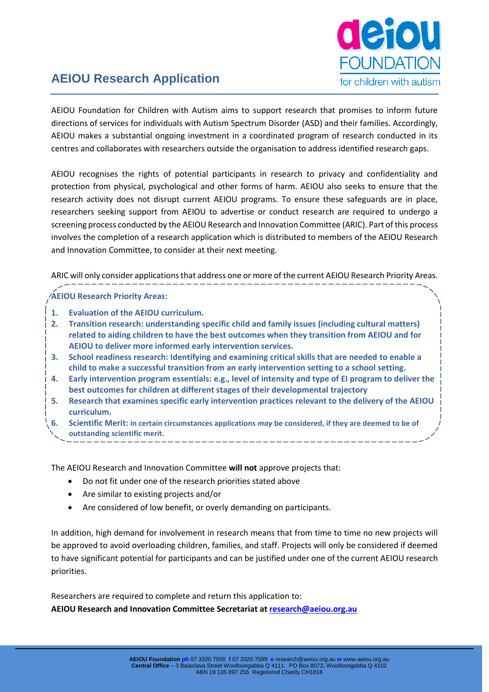

# **AEIOU Research Application**

AEIOU Foundation for Children with Autism aims to support research that promises to inform future directions of services for individuals with Autism Spectrum Disorder (ASD) and their families. Accordingly, AEIOU makes a substantial ongoing investment in a coordinated program of research conducted in its centres and collaborates with researchers outside the organisation to address identified research gaps.

AEIOU recognises the rights of potential participants in research to privacy and confidentiality and protection from physical, psychological and other forms of harm. AEIOU also seeks to ensure that the research activity does not disrupt current AEIOU programs. To ensure these safeguards are in place, researchers seeking support from AEIOU to advertise or conduct research are required to undergo a screening process conducted by the AEIOU Research and Innovation Committee (ARIC). Part of this process involves the completion of a research application which is distributed to members of the AEIOU Research and Innovation Committee, to consider at their next meeting.

ARIC will only consider applications that address one or more of the current AEIOU Research Priority Areas.

**AEIOU Research Priority Areas:**

- **1. Evaluation of the AEIOU curriculum.**
- **2. Transition research: understanding specific child and family issues (including cultural matters) related to aiding children to have the best outcomes when they transition from AEIOU and for AEIOU to deliver more informed early intervention services.**
- **3. School readiness research: Identifying and examining critical skills that are needed to enable a child to make a successful transition from an early intervention setting to a school setting.**
- **4. Early intervention program essentials: e.g., level of intensity and type of EI program to deliver the best outcomes for children at different stages of their developmental trajectory**
- **5. Research that examines specific early intervention practices relevant to the delivery of the AEIOU curriculum.**
- **6. Scientific Merit: in certain circumstances applications** *may* **be considered, if they are deemed to be of outstanding scientific merit.**

The AEIOU Research and Innovation Committee **will not** approve projects that:

- Do not fit under one of the research priorities stated above
- Are similar to existing projects and/or
- Are considered of low benefit, or overly demanding on participants.

In addition, high demand for involvement in research means that from time to time no new projects will be approved to avoid overloading children, families, and staff. Projects will only be considered if deemed to have significant potential for participants and can be justified under one of the current AEIOU research priorities.

Researchers are required to complete and return this application to: **AEIOU Research and Innovation Committee Secretariat at [research@aeiou.org.au](mailto:research@aeiou.org.au)**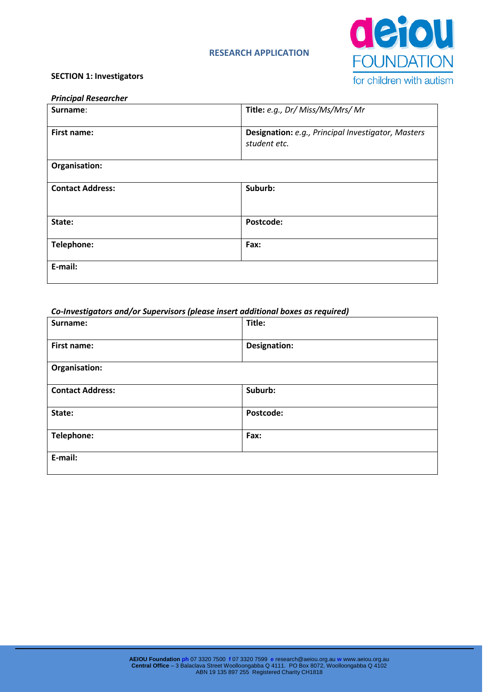## **RESEARCH APPLICATION**



#### **SECTION 1: Investigators**

#### *Principal Researcher*

| Surname:                | Title: e.g., Dr/ Miss/Ms/Mrs/ Mr                                   |
|-------------------------|--------------------------------------------------------------------|
| <b>First name:</b>      | Designation: e.g., Principal Investigator, Masters<br>student etc. |
| Organisation:           |                                                                    |
| <b>Contact Address:</b> | Suburb:                                                            |
| State:                  | Postcode:                                                          |
| Telephone:              | Fax:                                                               |
| E-mail:                 |                                                                    |

#### *Co-Investigators and/or Supervisors (please insert additional boxes as required)*

| Surname:                | Title:              |
|-------------------------|---------------------|
| First name:             | <b>Designation:</b> |
| Organisation:           |                     |
| <b>Contact Address:</b> | Suburb:             |
| State:                  | Postcode:           |
| Telephone:              | Fax:                |
| E-mail:                 |                     |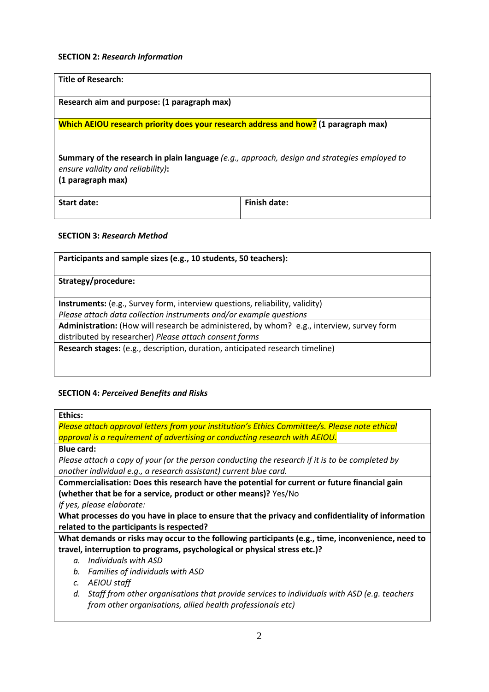## **SECTION 2:** *Research Information*

| <b>Title of Research:</b>                                                                                                                |              |  |  |
|------------------------------------------------------------------------------------------------------------------------------------------|--------------|--|--|
| Research aim and purpose: (1 paragraph max)                                                                                              |              |  |  |
| Which AEIOU research priority does your research address and how? (1 paragraph max)                                                      |              |  |  |
|                                                                                                                                          |              |  |  |
| <b>Summary of the research in plain language</b> (e.g., approach, design and strategies employed to<br>ensure validity and reliability): |              |  |  |
| (1 paragraph max)                                                                                                                        |              |  |  |
| Start date:                                                                                                                              | Finish date: |  |  |

## **SECTION 3:** *Research Method*

| Participants and sample sizes (e.g., 10 students, 50 teachers):                           |  |  |
|-------------------------------------------------------------------------------------------|--|--|
| Strategy/procedure:                                                                       |  |  |
| Instruments: (e.g., Survey form, interview questions, reliability, validity)              |  |  |
| Please attach data collection instruments and/or example questions                        |  |  |
| Administration: (How will research be administered, by whom? e.g., interview, survey form |  |  |
| distributed by researcher) Please attach consent forms                                    |  |  |
| Research stages: (e.g., description, duration, anticipated research timeline)             |  |  |
|                                                                                           |  |  |
|                                                                                           |  |  |

## **SECTION 4:** *Perceived Benefits and Risks*

*Please attach approval letters from your institution's Ethics Committee/s. Please note ethical approval is a requirement of advertising or conducting research with AEIOU.*

**Blue card:** 

*Please attach a copy of your (or the person conducting the research if it is to be completed by another individual e.g., a research assistant) current blue card.*

**Commercialisation: Does this research have the potential for current or future financial gain (whether that be for a service, product or other means)?** Yes/No

*If yes, please elaborate:* 

**What processes do you have in place to ensure that the privacy and confidentiality of information related to the participants is respected?** 

**What demands or risks may occur to the following participants (e.g., time, inconvenience, need to travel, interruption to programs, psychological or physical stress etc.)?** 

- *a. Individuals with ASD*
- *b. Families of individuals with ASD*
- *c. AEIOU staff*
- *d. Staff from other organisations that provide services to individuals with ASD (e.g. teachers from other organisations, allied health professionals etc)*